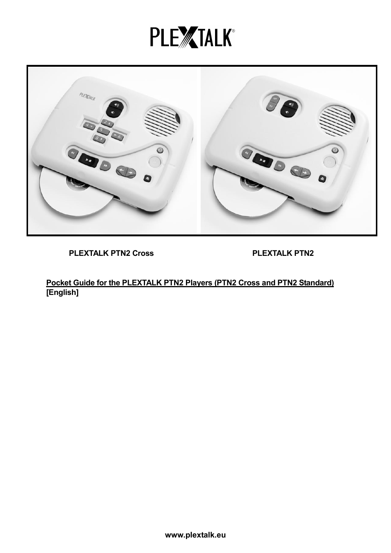# **PLEXTALK®**



PLEXTALK PTN2 Cross PLEXTALK PTN2

Pocket Guide for the PLEXTALK PTN2 Players (PTN2 Cross and PTN2 Standard) [English]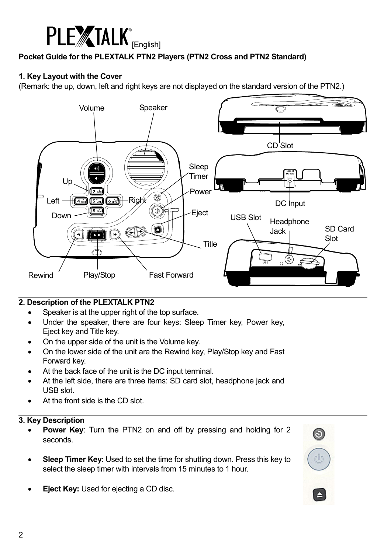

## Pocket Guide for the PLEXTALK PTN2 Players (PTN2 Cross and PTN2 Standard)

## 1. Key Layout with the Cover

(Remark: the up, down, left and right keys are not displayed on the standard version of the PTN2.)



## 2. Description of the PLEXTALK PTN2

- Speaker is at the upper right of the top surface.
- Under the speaker, there are four keys: Sleep Timer key, Power key, Eject key and Title key.
- On the upper side of the unit is the Volume key.
- On the lower side of the unit are the Rewind key, Play/Stop key and Fast Forward key.
- At the back face of the unit is the DC input terminal.
- At the left side, there are three items: SD card slot, headphone jack and USB slot.
- At the front side is the CD slot.

#### 3. Key Description

- Power Key: Turn the PTN2 on and off by pressing and holding for 2 seconds.
- Sleep Timer Key: Used to set the time for shutting down. Press this key to select the sleep timer with intervals from 15 minutes to 1 hour.
- **Eject Key: Used for ejecting a CD disc.**

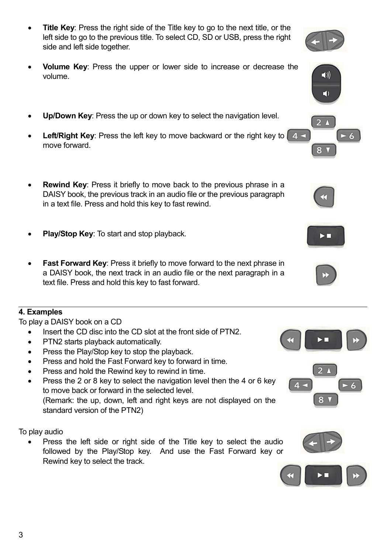- Title Key: Press the right side of the Title key to go to the next title, or the left side to go to the previous title. To select CD, SD or USB, press the right side and left side together.
- Volume Key: Press the upper or lower side to increase or decrease the volume.
- Up/Down Key: Press the up or down key to select the navigation level.
- **Left/Right Key:** Press the left key to move backward or the right key to  $\begin{bmatrix} 4 & 1 \\ 1 & 1 \end{bmatrix}$ move forward.
- Rewind Key: Press it briefly to move back to the previous phrase in a DAISY book, the previous track in an audio file or the previous paragraph in a text file. Press and hold this key to fast rewind.
- Play/Stop Key: To start and stop playback.
- **Fast Forward Key: Press it briefly to move forward to the next phrase in** a DAISY book, the next track in an audio file or the next paragraph in a text file. Press and hold this key to fast forward.

# 4. Examples

To play a DAISY book on a CD

- Insert the CD disc into the CD slot at the front side of PTN2.
- PTN2 starts playback automatically.
- Press the Play/Stop key to stop the playback.
- Press and hold the Fast Forward key to forward in time.
- Press and hold the Rewind key to rewind in time.
- Press the 2 or 8 key to select the navigation level then the 4 or 6 key to move back or forward in the selected level. (Remark: the up, down, left and right keys are not displayed on the standard version of the PTN2)

To play audio

Press the left side or right side of the Title key to select the audio followed by the Play/Stop key. And use the Fast Forward key or Rewind key to select the track.













 $\blacktriangleleft$  ))

 $\blacktriangleleft$ 



 $2<sub>1</sub>$ 

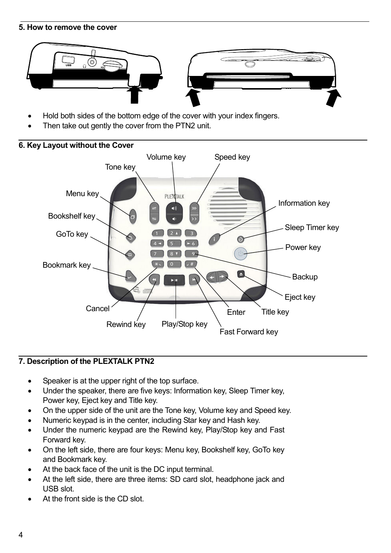#### 5. How to remove the cover



- Hold both sides of the bottom edge of the cover with your index fingers.
- Then take out gently the cover from the PTN2 unit.



## 7. Description of the PLEXTALK PTN2

- Speaker is at the upper right of the top surface.
- Under the speaker, there are five keys: Information key, Sleep Timer key, Power key, Eject key and Title key.
- On the upper side of the unit are the Tone key, Volume key and Speed key.
- Numeric keypad is in the center, including Star key and Hash key.
- Under the numeric keypad are the Rewind key, Play/Stop key and Fast Forward key.
- On the left side, there are four keys: Menu key, Bookshelf key, GoTo key and Bookmark key.
- At the back face of the unit is the DC input terminal.
- At the left side, there are three items: SD card slot, headphone jack and USB slot.
- At the front side is the CD slot.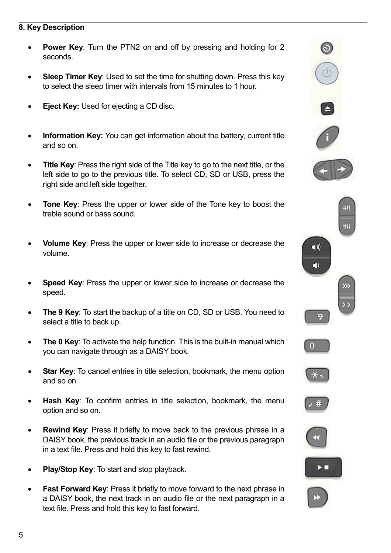#### 8. Key Description

- **Power Key:** Turn the PTN2 on and off by pressing and holding for 2 seconds.
- **Sleep Timer Key:** Used to set the time for shutting down. Press this key to select the sleep timer with intervals from 15 minutes to 1 hour.
- **Eject Key: Used for ejecting a CD disc.**
- Information Key: You can get information about the battery, current title and so on.
- Title Key: Press the right side of the Title key to go to the next title, or the left side to go to the previous title. To select CD, SD or USB, press the right side and left side together.
- Tone Key: Press the upper or lower side of the Tone key to boost the treble sound or bass sound.
- Volume Key: Press the upper or lower side to increase or decrease the volume.
- Speed Key: Press the upper or lower side to increase or decrease the speed.
- The 9 Key: To start the backup of a title on CD, SD or USB. You need to select a title to back up.
- The 0 Key: To activate the help function. This is the built-in manual which you can navigate through as a DAISY book.
- **Star Key:** To cancel entries in title selection, bookmark, the menu option and so on.
- Hash Key: To confirm entries in title selection, bookmark, the menu option and so on.
- **Rewind Key:** Press it briefly to move back to the previous phrase in a DAISY book, the previous track in an audio file or the previous paragraph in a text file. Press and hold this key to fast rewind.
- Play/Stop Key: To start and stop playback.
- **Fast Forward Key: Press it briefly to move forward to the next phrase in** a DAISY book, the next track in an audio file or the next paragraph in a text file. Press and hold this key to fast forward.

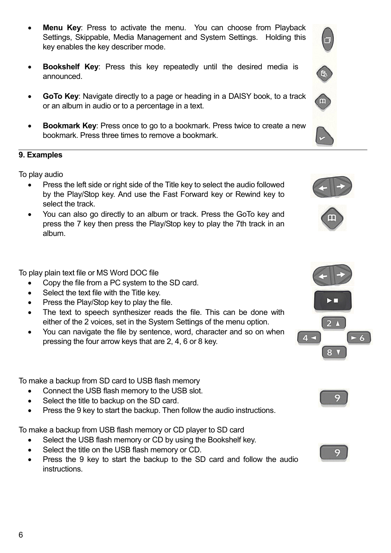6

- **Menu Key:** Press to activate the menu. You can choose from Playback Settings, Skippable, Media Management and System Settings. Holding this key enables the key describer mode.
- **Bookshelf Key**: Press this key repeatedly until the desired media is announced.
- GoTo Key: Navigate directly to a page or heading in a DAISY book, to a track or an album in audio or to a percentage in a text.
- Bookmark Key: Press once to go to a bookmark. Press twice to create a new bookmark. Press three times to remove a bookmark.

## 9. Examples

To play audio

- Press the left side or right side of the Title key to select the audio followed by the Play/Stop key. And use the Fast Forward key or Rewind key to select the track.
- You can also go directly to an album or track. Press the GoTo key and press the 7 key then press the Play/Stop key to play the 7th track in an album.

To play plain text file or MS Word DOC file

- Copy the file from a PC system to the SD card.
- Select the text file with the Title key.
- Press the Play/Stop key to play the file.
- The text to speech synthesizer reads the file. This can be done with either of the 2 voices, set in the System Settings of the menu option.
- You can navigate the file by sentence, word, character and so on when pressing the four arrow keys that are 2, 4, 6 or 8 key.

To make a backup from SD card to USB flash memory

- Connect the USB flash memory to the USB slot.
- Select the title to backup on the SD card.
- Press the 9 key to start the backup. Then follow the audio instructions.

To make a backup from USB flash memory or CD player to SD card

- Select the USB flash memory or CD by using the Bookshelf key.
- Select the title on the USB flash memory or CD.
- Press the 9 key to start the backup to the SD card and follow the audio instructions.